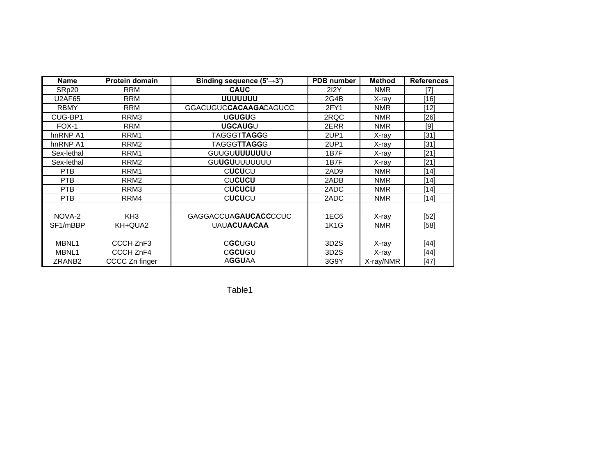| <b>Name</b>        | <b>Protein domain</b> | Binding sequence $(5' \rightarrow 3')$ | <b>PDB</b> number | <b>Method</b> | <b>References</b> |
|--------------------|-----------------------|----------------------------------------|-------------------|---------------|-------------------|
| SRp20              | <b>RRM</b>            | <b>CAUC</b>                            | <b>2I2Y</b>       | <b>NMR</b>    | [7]               |
| <b>U2AF65</b>      | <b>RRM</b>            | UUUUUUU                                | 2G4B              | X-ray         | [16]              |
| <b>RBMY</b>        | <b>RRM</b>            | <b>GGACUGUCCACAAGACAGUCC</b>           | 2FY1              | <b>NMR</b>    | [12]              |
| CUG-BP1            | RRM3                  | <b>UGUGUG</b>                          | 2RQC              | <b>NMR</b>    | [26]              |
| $FOX-1$            | <b>RRM</b>            | <b>UGCAUGU</b>                         | 2ERR              | <b>NMR</b>    | [9]               |
| hnRNP A1           | RRM <sub>1</sub>      | <b>TAGGGTTAGGG</b>                     | 2UP1              | X-ray         | [31]              |
| hnRNP A1           | RRM <sub>2</sub>      | <b>TAGGGTTAGGG</b>                     | 2UP1              | X-ray         | [31]              |
| Sex-lethal         | RRM <sub>1</sub>      | GUUGUUUUUUUU                           | 1B7F              | X-ray         | [21]              |
| Sex-lethal         | RRM <sub>2</sub>      | GUUGUUUUUUUUU                          | 1B7F              | X-ray         | $[21]$            |
| <b>PTB</b>         | RRM1                  | CUCUCU                                 | 2AD9              | <b>NMR</b>    | [14]              |
| <b>PTB</b>         | RRM <sub>2</sub>      | <b>CUCUCU</b>                          | 2ADB              | <b>NMR</b>    | [14]              |
| <b>PTB</b>         | RRM3                  | <b>CUCUCU</b>                          | 2ADC              | <b>NMR</b>    | [14]              |
| <b>PTB</b>         | RRM4                  | <b>CUCUCU</b>                          | 2ADC              | <b>NMR</b>    | $[14]$            |
|                    |                       |                                        |                   |               |                   |
| NOVA-2             | KH <sub>3</sub>       | <b>GAGGACCUAGAUCACCCCUC</b>            | 1EC6              | X-ray         | [52]              |
| SF1/mBBP           | KH+QUA2               | <b>UAUACUAACAA</b>                     | <b>1K1G</b>       | <b>NMR</b>    | [58]              |
|                    |                       |                                        |                   |               |                   |
| MBNL1              | CCCH ZnF3             | CGCUGU                                 | 3D <sub>2</sub> S | X-ray         | [44]              |
| MBNL1              | CCCH ZnF4             | CGCUGU                                 | 3D <sub>2</sub> S | X-ray         | $[44]$            |
| ZRANB <sub>2</sub> | CCCC Zn finger        | <b>AGGUAA</b>                          | 3G9Y              | X-ray/NMR     | [47]              |

Table1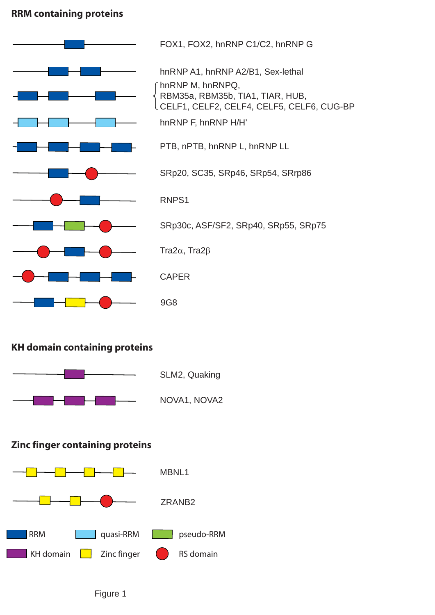## **RRM containing proteins**



## **KH domain containing proteins**



SLM2, Quaking

NOVA1, NOVA2

## **Zinc finger containing proteins**



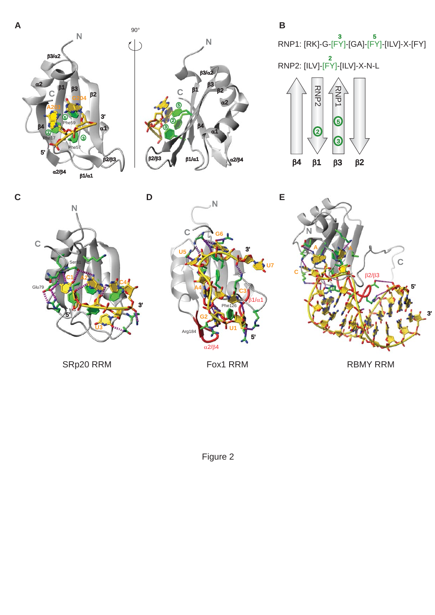

SRp20 RRM Fox1 RRM

RBMY RRM

Figure 2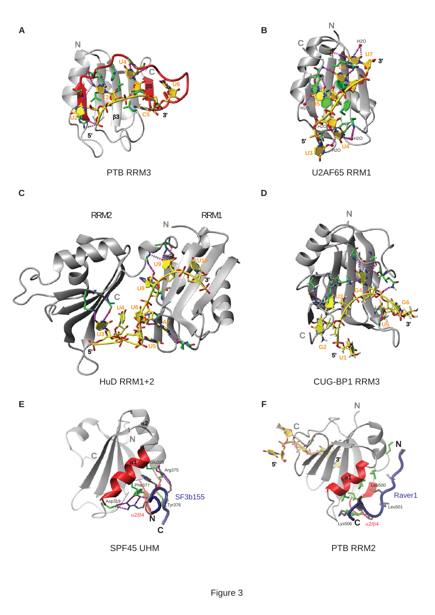**C**



PTB RRM3







U2AF65 RRM1

**D**



HuD RRM1+2 CUG-BP1 RRM3



PTB RRM2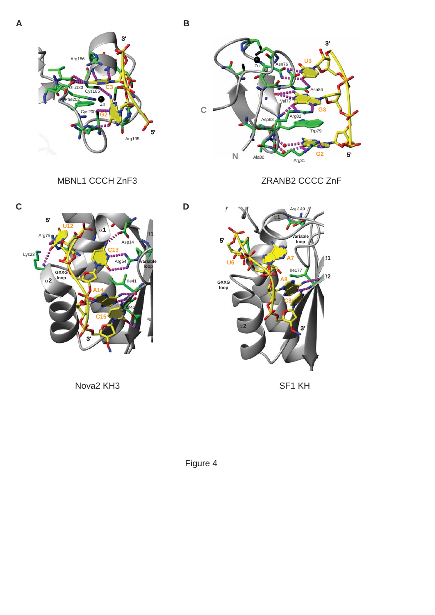

















**D**